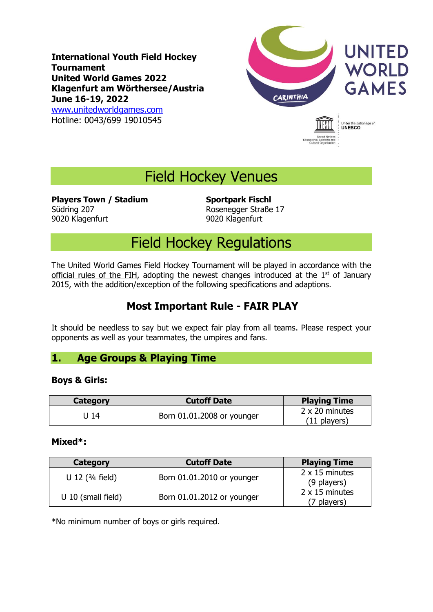**International Youth Field Hockey Tournament United World Games 2022 Klagenfurt am Wörthersee/Austria June 16-19, 2022** [www.unitedworldgames.com](http://www.unitedworldgames.com/) Hotline: 0043/699 19010545



Under the patronage of<br> **UNESCO** 

Field Hockey Venues

**Players Town / Stadium Sportpark Fischl** Südring 207 Rosenegger Straße 17 9020 Klagenfurt 9020 Klagenfurt

# Field Hockey Regulations

The United World Games Field Hockey Tournament will be played in accordance with the official rules of the FIH, adopting the newest changes introduced at the  $1<sup>st</sup>$  of January 2015, with the addition/exception of the following specifications and adaptions.

# **Most Important Rule - FAIR PLAY**

It should be needless to say but we expect fair play from all teams. Please respect your opponents as well as your teammates, the umpires and fans.

## **1. Age Groups & Playing Time**

#### **Boys & Girls:**

| Category | <b>Cutoff Date</b>         | <b>Playing Time</b>              |
|----------|----------------------------|----------------------------------|
| 14 ل     | Born 01.01.2008 or younger | 2 x 20 minutes<br>$(11$ players) |

#### **Mixed\*:**

| Category                   | <b>Cutoff Date</b>         | <b>Playing Time</b>           |
|----------------------------|----------------------------|-------------------------------|
| U 12 $(3/4 \text{ field})$ | Born 01.01.2010 or younger | 2 x 15 minutes<br>(9 players) |
| $U$ 10 (small field)       | Born 01.01.2012 or younger | 2 x 15 minutes<br>(7 players) |

\*No minimum number of boys or girls required.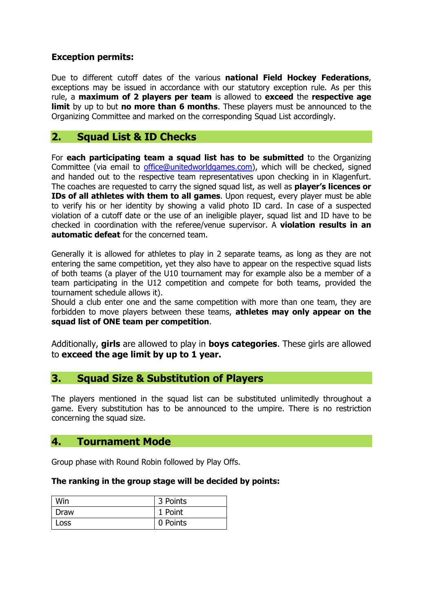#### **Exception permits:**

Due to different cutoff dates of the various **national Field Hockey Federations**, exceptions may be issued in accordance with our statutory exception rule. As per this rule, a **maximum of 2 players per team** is allowed to **exceed** the **respective age limit** by up to but **no more than 6 months**. These players must be announced to the Organizing Committee and marked on the corresponding Squad List accordingly.

## **2. Squad List & ID Checks**

For **each participating team a squad list has to be submitted** to the Organizing Committee (via email to [office@unitedworldgames.com\)](mailto:office@unitedworldgames.com), which will be checked, signed and handed out to the respective team representatives upon checking in in Klagenfurt. The coaches are requested to carry the signed squad list, as well as **player's licences or IDs of all athletes with them to all games**. Upon request, every player must be able to verify his or her identity by showing a valid photo ID card. In case of a suspected violation of a cutoff date or the use of an ineligible player, squad list and ID have to be checked in coordination with the referee/venue supervisor. A **violation results in an automatic defeat** for the concerned team.

Generally it is allowed for athletes to play in 2 separate teams, as long as they are not entering the same competition, yet they also have to appear on the respective squad lists of both teams (a player of the U10 tournament may for example also be a member of a team participating in the U12 competition and compete for both teams, provided the tournament schedule allows it).

Should a club enter one and the same competition with more than one team, they are forbidden to move players between these teams, **athletes may only appear on the squad list of ONE team per competition**.

Additionally, **girls** are allowed to play in **boys categories**. These girls are allowed to **exceed the age limit by up to 1 year.**

### **3. Squad Size & Substitution of Players**

The players mentioned in the squad list can be substituted unlimitedly throughout a game. Every substitution has to be announced to the umpire. There is no restriction concerning the squad size.

### **4. Tournament Mode**

Group phase with Round Robin followed by Play Offs.

#### **The ranking in the group stage will be decided by points:**

| Win  | 3 Points |
|------|----------|
| Draw | 1 Point  |
| Loss | 0 Points |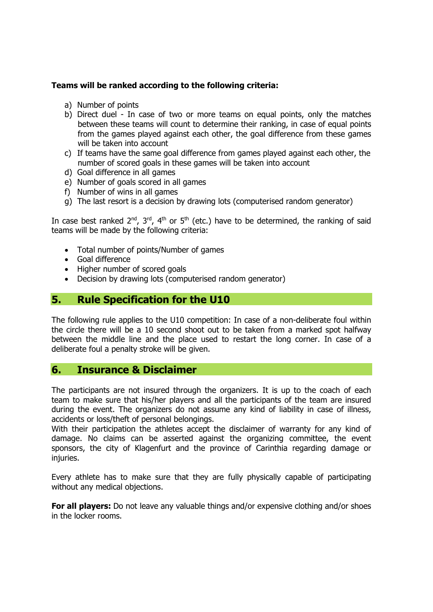#### **Teams will be ranked according to the following criteria:**

- a) Number of points
- b) Direct duel In case of two or more teams on equal points, only the matches between these teams will count to determine their ranking, in case of equal points from the games played against each other, the goal difference from these games will be taken into account
- c) If teams have the same goal difference from games played against each other, the number of scored goals in these games will be taken into account
- d) Goal difference in all games
- e) Number of goals scored in all games
- f) Number of wins in all games
- g) The last resort is a decision by drawing lots (computerised random generator)

In case best ranked  $2^{nd}$ ,  $3^{rd}$ ,  $4^{th}$  or  $5^{th}$  (etc.) have to be determined, the ranking of said teams will be made by the following criteria:

- Total number of points/Number of games
- Goal difference
- Higher number of scored goals
- Decision by drawing lots [\(computerised](http://de.pons.com/%C3%BCbersetzung/englisch-deutsch/computerised) random generator)

## **5. Rule Specification for the U10**

The following rule applies to the U10 competition: In case of a non-deliberate foul within the circle there will be a 10 second shoot out to be taken from a marked spot halfway between the middle line and the place used to restart the long corner. In case of a deliberate foul a penalty stroke will be given.

#### **6. Insurance & Disclaimer**

The participants are not insured through the organizers. It is up to the coach of each team to make sure that his/her players and all the participants of the team are insured during the event. The organizers do not assume any kind of liability in case of illness, accidents or loss/theft of personal belongings.

With their participation the athletes accept the disclaimer of warranty for any kind of damage. No claims can be asserted against the organizing committee, the event sponsors, the city of Klagenfurt and the province of Carinthia regarding damage or iniuries.

Every athlete has to make sure that they are fully physically capable of participating without any medical objections.

**For all players:** Do not leave any valuable things and/or expensive clothing and/or shoes in the locker rooms.